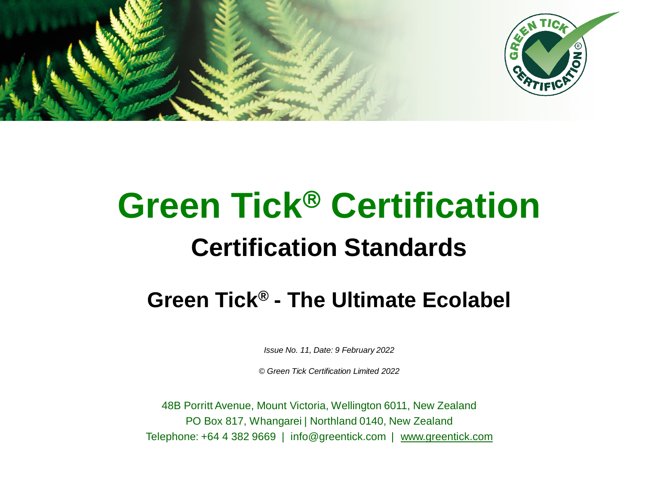



# **Green Tick<sup>®</sup> Certification Certification Standards**

### **Green Tick® - The Ultimate Ecolabel**

*Issue No. 11, Date: 9 February 2022*

*© Green Tick Certification Limited 2022*

48B Porritt Avenue, Mount Victoria, Wellington 6011, New Zealand PO Box 817, Whangarei | Northland 0140, New Zealand Telephone: +64 4 382 9669 | info@greentick.com | [www.greentick.com](http://www.greentick.com/)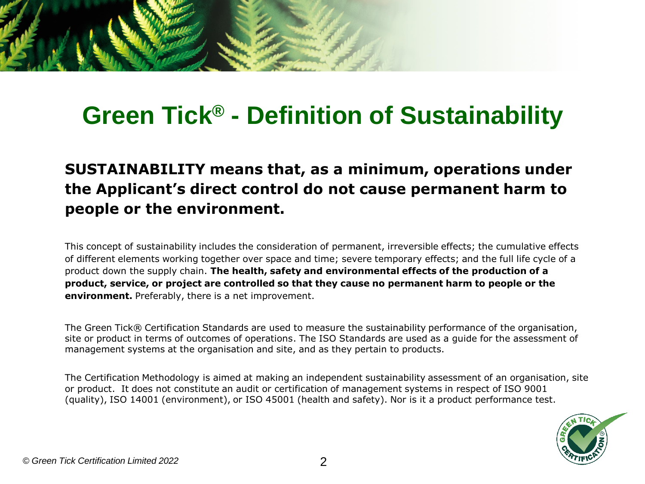## **Green Tick® - Definition of Sustainability**

### **SUSTAINABILITY means that, as a minimum, operations under the Applicant's direct control do not cause permanent harm to people or the environment.**

This concept of sustainability includes the consideration of permanent, irreversible effects; the cumulative effects of different elements working together over space and time; severe temporary effects; and the full life cycle of a product down the supply chain. **The health, safety and environmental effects of the production of a product, service, or project are controlled so that they cause no permanent harm to people or the environment.** Preferably, there is a net improvement.

The Green Tick® Certification Standards are used to measure the sustainability performance of the organisation, site or product in terms of outcomes of operations. The ISO Standards are used as a guide for the assessment of management systems at the organisation and site, and as they pertain to products.

The Certification Methodology is aimed at making an independent sustainability assessment of an organisation, site or product. It does not constitute an audit or certification of management systems in respect of ISO 9001 (quality), ISO 14001 (environment), or ISO 45001 (health and safety). Nor is it a product performance test.

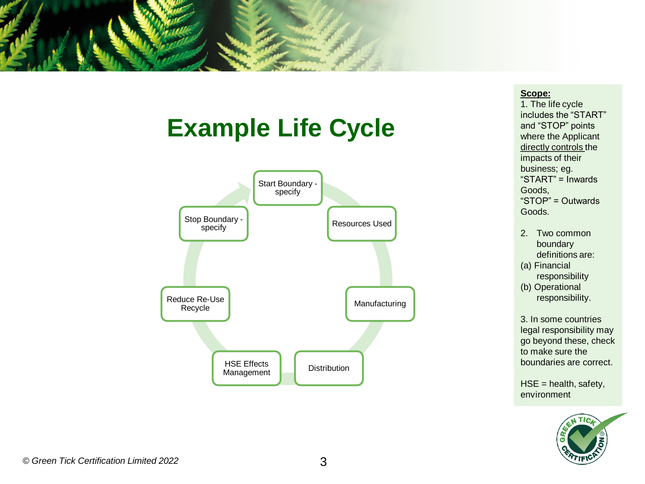

### **Example Life Cycle**



#### **Scope:**

1. The life cycle includes the "START" and "STOP" points where the Applicant directly controls the impacts of their business; eg. "START" = Inwards Goods, "STOP" = Outwards Goods.

- 2. Two common boundary definitions are:
- (a) Financial responsibility
- (b) Operational responsibility.

3. In some countries legal responsibility may go beyond these, check to make sure the boundaries are correct.

 $HSE =$  health, safety, environment

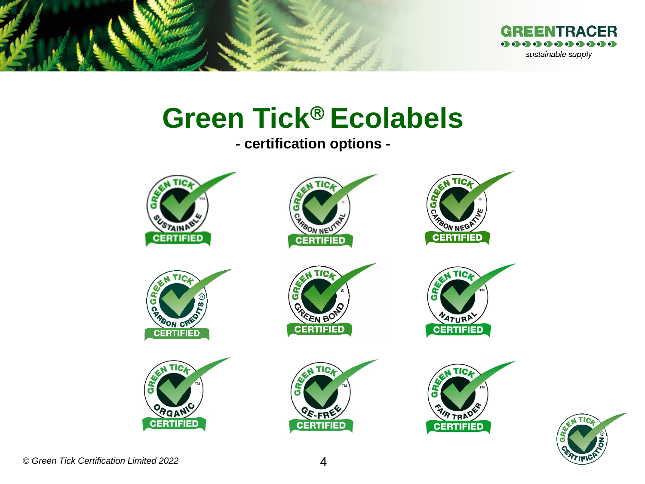

# **Green Tick<sup>®</sup> Ecolabels**

**- certification options -**



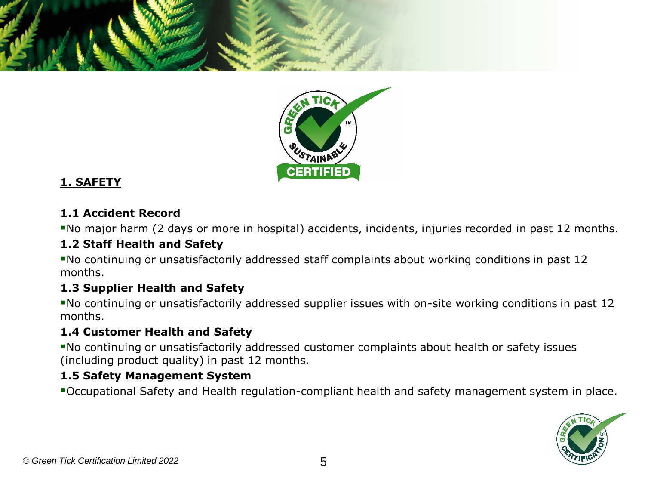



#### **1. SAFETY**

#### **1.1 Accident Record**

▪No major harm (2 days or more in hospital) accidents, incidents, injuries recorded in past 12 months.

#### **1.2 Staff Health and Safety**

▪No continuing or unsatisfactorily addressed staff complaints about working conditions in past 12 months.

#### **1.3 Supplier Health and Safety**

▪No continuing or unsatisfactorily addressed supplier issues with on-site working conditions in past 12 months.

#### **1.4 Customer Health and Safety**

▪No continuing or unsatisfactorily addressed customer complaints about health or safety issues (including product quality) in past 12 months.

#### **1.5 Safety Management System**

▪Occupational Safety and Health regulation-compliant health and safety management system in place.

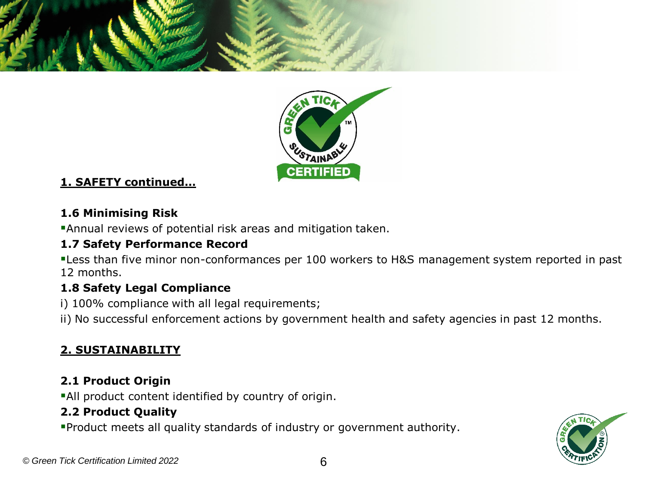



#### **1. SAFETY continued…**

#### **1.6 Minimising Risk**

**Annual reviews of potential risk areas and mitigation taken.** 

#### **1.7 Safety Performance Record**

**.** Less than five minor non-conformances per 100 workers to H&S management system reported in past 12 months.

#### **1.8 Safety Legal Compliance**

i) 100% compliance with all legal requirements;

ii) No successful enforcement actions by government health and safety agencies in past 12 months.

### **2. SUSTAINABILITY**

#### **2.1 Product Origin**

**All product content identified by country of origin.** 

#### **2.2 Product Quality**

▪Product meets all quality standards of industry or government authority.

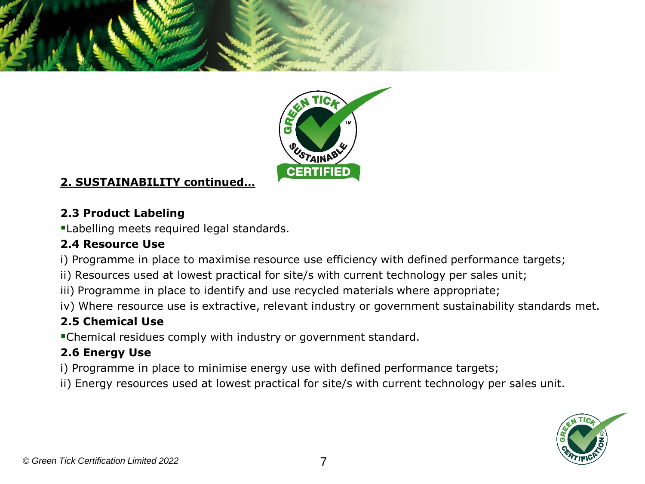



#### **2. SUSTAINABILITY continued…**

#### **2.3 Product Labeling**

**ELabelling meets required legal standards.** 

#### **2.4 Resource Use**

i) Programme in place to maximise resource use efficiency with defined performance targets;

- ii) Resources used at lowest practical for site/s with current technology per sales unit;
- iii) Programme in place to identify and use recycled materials where appropriate;
- iv) Where resource use is extractive, relevant industry or government sustainability standards met.

#### **2.5 Chemical Use**

▪Chemical residues comply with industry or government standard.

#### **2.6 Energy Use**

- i) Programme in place to minimise energy use with defined performance targets;
- ii) Energy resources used at lowest practical for site/s with current technology per sales unit.

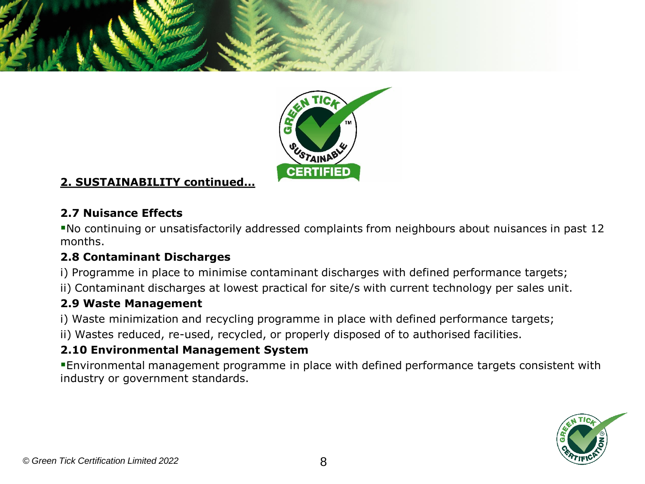



#### **2. SUSTAINABILITY continued…**

#### **2.7 Nuisance Effects**

▪No continuing or unsatisfactorily addressed complaints from neighbours about nuisances in past 12 months.

#### **2.8 Contaminant Discharges**

- i) Programme in place to minimise contaminant discharges with defined performance targets;
- ii) Contaminant discharges at lowest practical for site/s with current technology per sales unit.

#### **2.9 Waste Management**

- i) Waste minimization and recycling programme in place with defined performance targets;
- ii) Wastes reduced, re-used, recycled, or properly disposed of to authorised facilities.

#### **2.10 Environmental Management System**

▪Environmental management programme in place with defined performance targets consistent with industry or government standards.

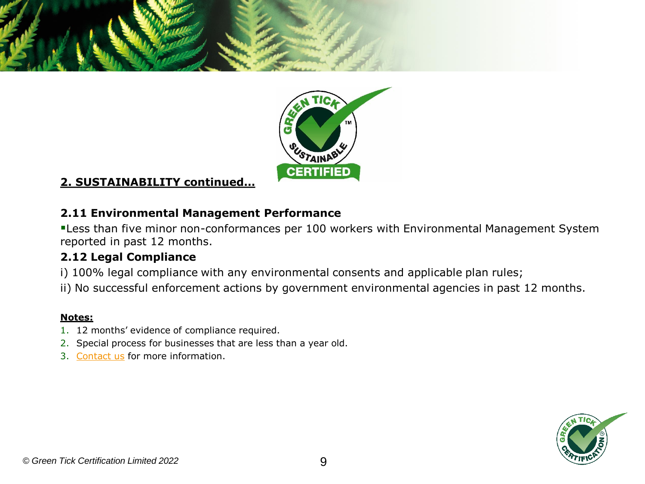



#### **2. SUSTAINABILITY continued…**

#### **2.11 Environmental Management Performance**

**ELESS than five minor non-conformances per 100 workers with Environmental Management System** reported in past 12 months.

#### **2.12 Legal Compliance**

- i) 100% legal compliance with any environmental consents and applicable plan rules;
- ii) No successful enforcement actions by government environmental agencies in past 12 months.

- 1. 12 months' evidence of compliance required.
- 2. Special process for businesses that are less than a year old.
- 3. [Contact us](mailto:info@greentick.com?subject=Green%20Tick%20Inquiry) for more information.

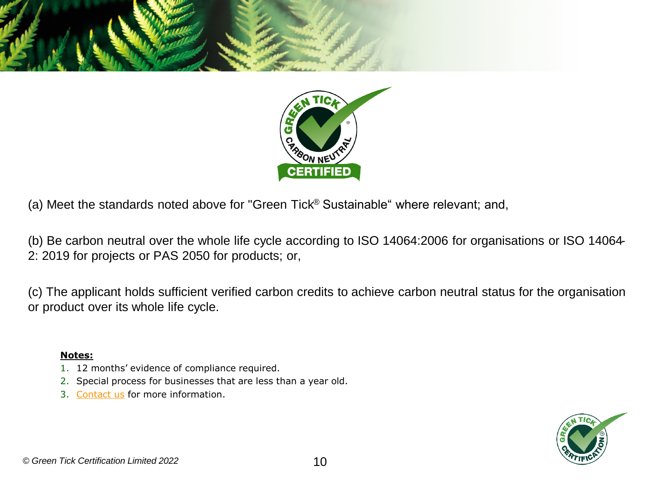



(b) Be carbon neutral over the whole life cycle according to ISO 14064:2006 for organisations or ISO 14064- 2: 2019 for projects or PAS 2050 for products; or,

(c) The applicant holds sufficient verified carbon credits to achieve carbon neutral status for the organisation or product over its whole life cycle.

- 1. 12 months' evidence of compliance required.
- 2. Special process for businesses that are less than a year old.
- 3. [Contact us](mailto:info@greentick.com?subject=Green%20Tick%20Inquiry) for more information.

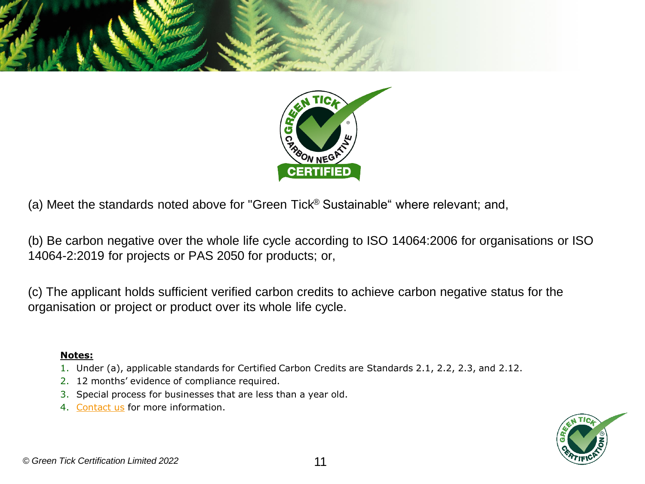



(b) Be carbon negative over the whole life cycle according to ISO 14064:2006 for organisations or ISO 14064-2:2019 for projects or PAS 2050 for products; or,

(c) The applicant holds sufficient verified carbon credits to achieve carbon negative status for the organisation or project or product over its whole life cycle.

- 1. Under (a), applicable standards for Certified Carbon Credits are Standards 2.1, 2.2, 2.3, and 2.12.
- 2. 12 months' evidence of compliance required.
- 3. Special process for businesses that are less than a year old.
- 4. [Contact us](mailto:info@greentick.com?subject=Green%20Tick%20Inquiry) for more information.

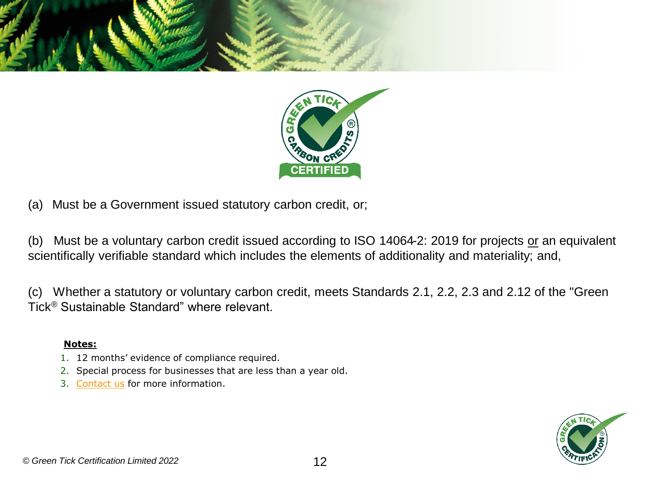



(a) Must be a Government issued statutory carbon credit, or;

(b) Must be a voluntary carbon credit issued according to ISO 14064-2: 2019 for projects or an equivalent scientifically verifiable standard which includes the elements of additionality and materiality; and,

(c) Whether a statutory or voluntary carbon credit, meets Standards 2.1, 2.2, 2.3 and 2.12 of the "Green Tick® Sustainable Standard" where relevant.

- 1. 12 months' evidence of compliance required.
- 2. Special process for businesses that are less than a year old.
- 3. [Contact us](mailto:info@greentick.com?subject=Green%20Tick%20Inquiry) for more information.

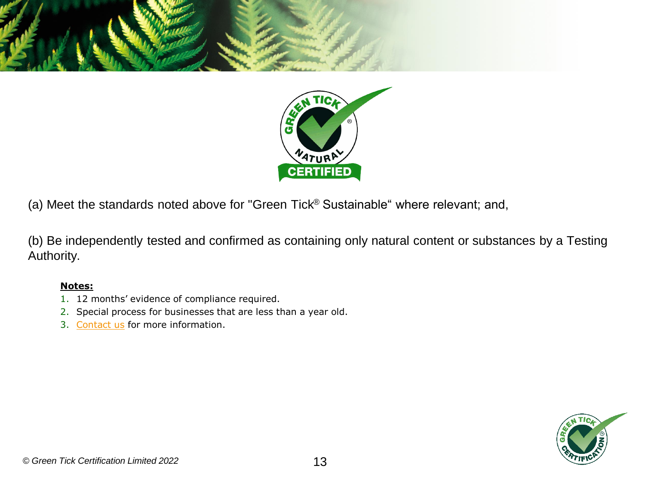



(b) Be independently tested and confirmed as containing only natural content or substances by a Testing Authority.

- 1. 12 months' evidence of compliance required.
- 2. Special process for businesses that are less than a year old.
- 3. [Contact us](mailto:info@greentick.com?subject=Green%20Tick%20Inquiry) for more information.

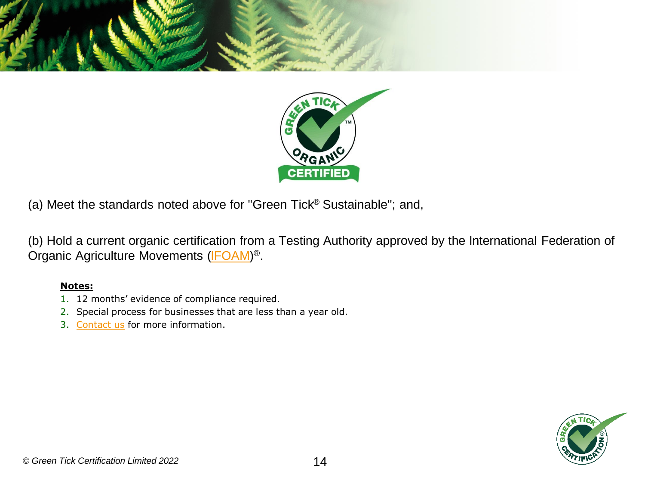



(b) Hold a current organic certification from a Testing Authority approved by the International Federation of Organic Agriculture Movements [\(IFOAM\)](http://www.ifoam.org/)<sup>®</sup>.

- 1. 12 months' evidence of compliance required.
- 2. Special process for businesses that are less than a year old.
- 3. [Contact us](mailto:info@greentick.com?subject=Green%20Tick%20Inquiry) for more information.

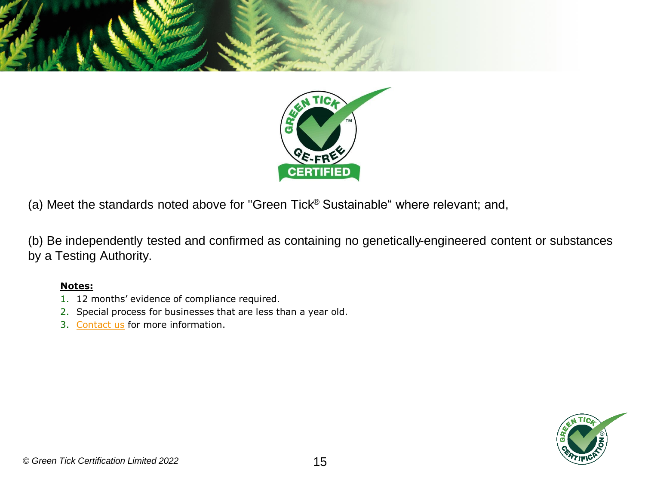



(b) Be independently tested and confirmed as containing no genetically-engineered content or substances by a Testing Authority.

- 1. 12 months' evidence of compliance required.
- 2. Special process for businesses that are less than a year old.
- 3. [Contact us](mailto:info@greentick.com?subject=Green%20Tick%20Inquiry) for more information.

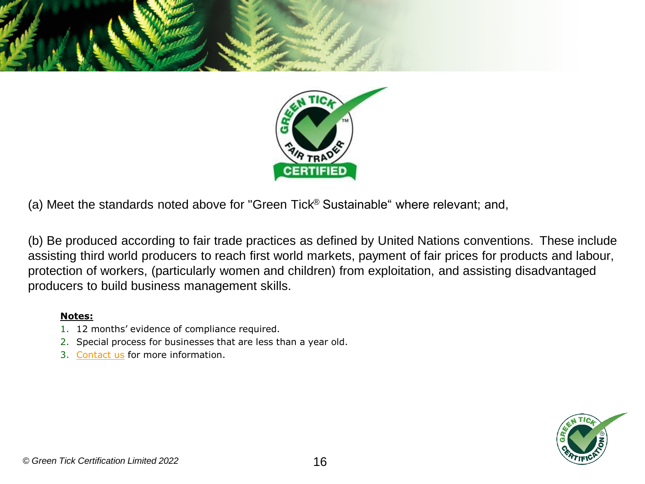



(b) Be produced according to fair trade practices as defined by United Nations conventions. These include assisting third world producers to reach first world markets, payment of fair prices for products and labour, protection of workers, (particularly women and children) from exploitation, and assisting disadvantaged producers to build business management skills.

- 1. 12 months' evidence of compliance required.
- 2. Special process for businesses that are less than a year old.
- 3. [Contact us](mailto:info@greentick.com?subject=Green%20Tick%20Inquiry) for more information.

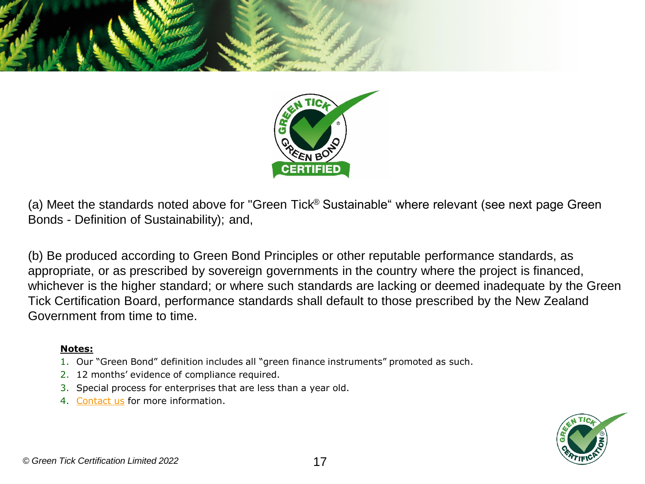



(a) Meet the standards noted above for "Green Tick® Sustainable" where relevant (see next page Green Bonds - Definition of Sustainability); and,

(b) Be produced according to Green Bond Principles or other reputable performance standards, as appropriate, or as prescribed by sovereign governments in the country where the project is financed, whichever is the higher standard; or where such standards are lacking or deemed inadequate by the Green Tick Certification Board, performance standards shall default to those prescribed by the New Zealand Government from time to time.

- 1. Our "Green Bond" definition includes all "green finance instruments" promoted as such.
- 2. 12 months' evidence of compliance required.
- 3. Special process for enterprises that are less than a year old.
- 4. [Contact us](mailto:info@greentick.com?subject=Green%20Tick%20Inquiry) for more information.

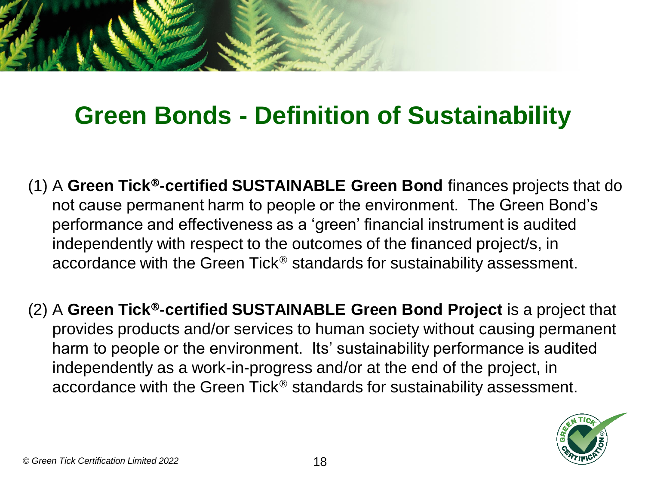

## **Green Bonds - Definition of Sustainability**

- (1) A **Green Tick-certified SUSTAINABLE Green Bond** finances projects that do not cause permanent harm to people or the environment. The Green Bond's performance and effectiveness as a 'green' financial instrument is audited independently with respect to the outcomes of the financed project/s, in accordance with the Green Tick<sup>®</sup> standards for sustainability assessment.
- (2) A **Green Tick-certified SUSTAINABLE Green Bond Project** is a project that provides products and/or services to human society without causing permanent harm to people or the environment. Its' sustainability performance is audited independently as a work-in-progress and/or at the end of the project, in accordance with the Green Tick<sup>®</sup> standards for sustainability assessment.

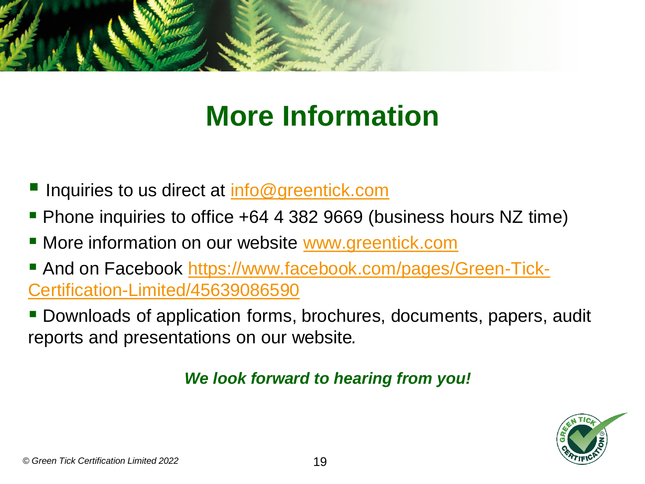

# **More Information**

- Inquiries to us direct at [info@greentick.com](mailto:info@greentick.com)
- Phone inquiries to office +64 4 382 9669 (business hours NZ time)
- **E** More information on our website [www.greentick.com](http://www.greentick.com/)
- [And on Facebook https://www.facebook.com/pages/Green-Tick-](https://www.facebook.com/pages/Green-Tick-Certification-Limited/45639086590)Certification-Limited/45639086590
- Downloads of application forms, brochures, documents, papers, audit reports and presentations on our website*.*

### *We look forward to hearing from you!*